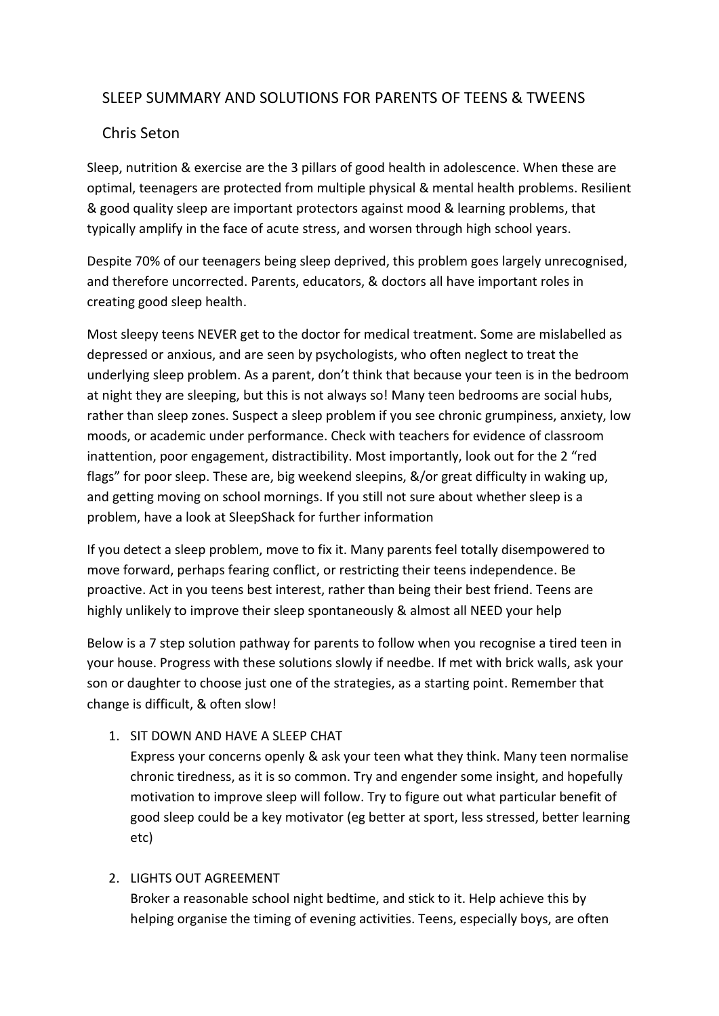# SLEEP SUMMARY AND SOLUTIONS FOR PARENTS OF TEENS & TWEENS

## Chris Seton

Sleep, nutrition & exercise are the 3 pillars of good health in adolescence. When these are optimal, teenagers are protected from multiple physical & mental health problems. Resilient & good quality sleep are important protectors against mood & learning problems, that typically amplify in the face of acute stress, and worsen through high school years.

Despite 70% of our teenagers being sleep deprived, this problem goes largely unrecognised, and therefore uncorrected. Parents, educators, & doctors all have important roles in creating good sleep health.

Most sleepy teens NEVER get to the doctor for medical treatment. Some are mislabelled as depressed or anxious, and are seen by psychologists, who often neglect to treat the underlying sleep problem. As a parent, don't think that because your teen is in the bedroom at night they are sleeping, but this is not always so! Many teen bedrooms are social hubs, rather than sleep zones. Suspect a sleep problem if you see chronic grumpiness, anxiety, low moods, or academic under performance. Check with teachers for evidence of classroom inattention, poor engagement, distractibility. Most importantly, look out for the 2 "red flags" for poor sleep. These are, big weekend sleepins, &/or great difficulty in waking up, and getting moving on school mornings. If you still not sure about whether sleep is a problem, have a look at SleepShack for further information

If you detect a sleep problem, move to fix it. Many parents feel totally disempowered to move forward, perhaps fearing conflict, or restricting their teens independence. Be proactive. Act in you teens best interest, rather than being their best friend. Teens are highly unlikely to improve their sleep spontaneously & almost all NEED your help

Below is a 7 step solution pathway for parents to follow when you recognise a tired teen in your house. Progress with these solutions slowly if needbe. If met with brick walls, ask your son or daughter to choose just one of the strategies, as a starting point. Remember that change is difficult, & often slow!

### 1. SIT DOWN AND HAVE A SLEEP CHAT

Express your concerns openly & ask your teen what they think. Many teen normalise chronic tiredness, as it is so common. Try and engender some insight, and hopefully motivation to improve sleep will follow. Try to figure out what particular benefit of good sleep could be a key motivator (eg better at sport, less stressed, better learning etc)

### 2. LIGHTS OUT AGREEMENT

Broker a reasonable school night bedtime, and stick to it. Help achieve this by helping organise the timing of evening activities. Teens, especially boys, are often